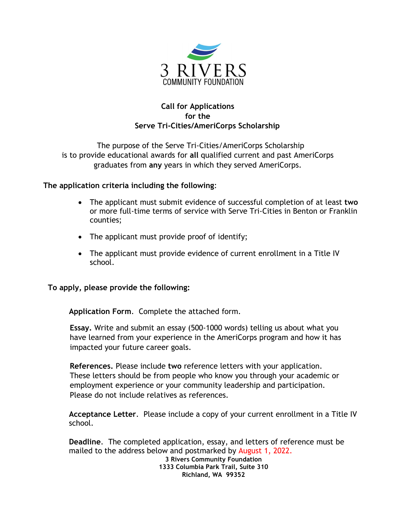

## **Call for Applications for the Serve Tri-Cities/AmeriCorps Scholarship**

The purpose of the Serve Tri-Cities/AmeriCorps Scholarship is to provide educational awards for **all** qualified current and past AmeriCorps graduates from **any** years in which they served AmeriCorps.

**The application criteria including the following**:

- The applicant must submit evidence of successful completion of at least **two** or more full-time terms of service with Serve Tri-Cities in Benton or Franklin counties;
- The applicant must provide proof of identify;
- The applicant must provide evidence of current enrollment in a Title IV school.

**To apply, please provide the following:**

**Application Form**. Complete the attached form.

**Essay.** Write and submit an essay (500-1000 words) telling us about what you have learned from your experience in the AmeriCorps program and how it has impacted your future career goals.

**References.** Please include **two** reference letters with your application. These letters should be from people who know you through your academic or employment experience or your community leadership and participation. Please do not include relatives as references.

**Acceptance Letter**. Please include a copy of your current enrollment in a Title IV school.

**Deadline**. The completed application, essay, and letters of reference must be mailed to the address below and postmarked by August 1, 2022.

**3 Rivers Community Foundation 1333 Columbia Park Trail, Suite 310 Richland, WA 99352**